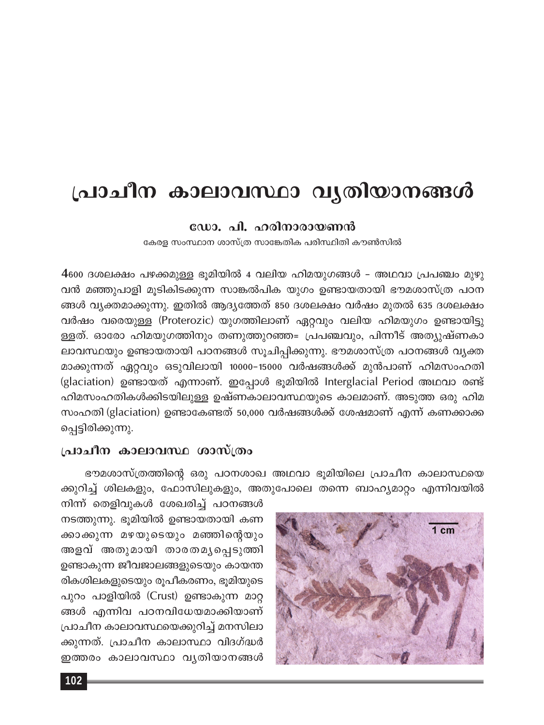# പ്രാചീന കാലാവസ്ഥാ വൃതിയാനങ്ങൾ

#### ഡോ. പി. ഹരിനാരായണൻ

കേരള സംസ്ഥാന ശാസ്ത്ര സാങ്കേതിക പരിസ്ഥിതി കൗൺസിൽ

 $4$ 600 ദശലക്ഷം പഴക്കമുള്ള ഭൂമിയിൽ 4 വലിയ ഹിമയുഗങ്ങൾ – അഥവാ പ്രപഞ്ചം മുഴു വൻ മഞ്ഞുപാളി മൂടികിടക്കുന്ന സാങ്കൽപിക യുഗം ഉണ്ടായതായി ഭൗമശാസ്ത്ര പഠന ങ്ങൾ വ്യക്തമാക്കുന്നു. ഇതിൽ ആദ്യത്തേത് 850 ദശലക്ഷം വർഷം മുതൽ 635 ദശലക്ഷം വർഷം വരെയുള്ള (Proterozic) യുഗത്തിലാണ് ഏറ്റവും വലിയ ഹിമയുഗം ഉണ്ടായിട്ടു ള്ളത്. ഓരോ ഹിമയുഗത്തിനും തണുത്തുറഞ്ഞ= പ്രപഞ്ചവും, പിന്നീട് അത്യുഷ്ണകാ ലാവസ്ഥയും ഉണ്ടായതായി പഠനങ്ങൾ സൂചിപ്പിക്കുന്നു. ഭൗമശാസ്ത്ര പഠനങ്ങൾ വ്യക്ത മാക്കുന്നത് ഏറ്റവും ഒടുവിലായി 10000–15000 വർഷങ്ങൾക്ക് മുൻപാണ് ഹിമസംഹതി (glaciation) ഉണ്ടായത് എന്നാണ്. ഇപ്പോൾ ഭൂമിയിൽ Interglacial Period അഥവാ രണ്ട് ഹിമസംഹതികൾക്കിടയിലുള്ള ഉഷ്ണകാലാവസ്ഥയുടെ കാലമാണ്. അടുത്ത ഒരു ഹിമ സംഹതി (glaciation) ഉണ്ടാകേണ്ടത് 50,000 വർഷങ്ങൾക്ക് ശേഷമാണ് എന്ന് കണക്കാക്ക പ്പെട്ടിരിക്കുന്നു.

### പ്രാചീന കാലാവസ്ഥ ശാസ്ത്രം

ഭൗമശാസ്ത്രത്തിന്റെ ഒരു പഠനശാഖ അഥവാ ഭൂമിയിലെ പ്രാചീന കാലാസ്ഥയെ ക്കുറിച്ച് ശിലകളും, ഫോസിലുകളും, അതുപോലെ തന്നെ ബാഹ്യമാറ്റം എന്നിവയിൽ

നിന്ന് തെളിവുകൾ ശേഖരിച്ച് പഠനങ്ങൾ നടത്തുന്നു. ഭൂമിയിൽ ഉണ്ടായതായി കണ ക്കാക്കുന്ന മഴയുടെയും മഞ്ഞിന്റെയും അളവ് അതുമായി താരതമൃപ്പെടുത്തി ഉണ്ടാകുന്ന ജീവജാലങ്ങളുടെയും കായന്ത രികശിലകളുടെയും രൂപീകരണം, ഭൂമിയുടെ പുറം പാളിയിൽ (Crust) ഉണ്ടാകുന്ന മാറ്റ ങ്ങൾ എന്നിവ പഠനവിധേയമാക്കിയാണ് പ്രാചീന കാലാവസ്ഥയെക്കുറിച്ച് മനസിലാ ക്കുന്നത്. പ്രാചീന കാലാസ്ഥാ വിദഗ്ദ്ധർ ഇത്തരം കാലാവസ്ഥാ വൃതിയാനങ്ങൾ

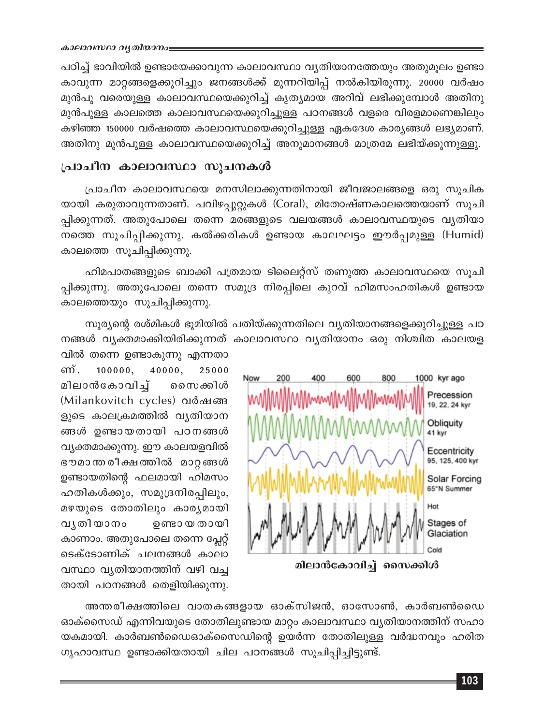പഠിച്ച് ഭാവിയിൽ ഉണ്ടായേക്കാവുന്ന കാലാവസ്ഥാ വ്യതിയാനത്തേയും അതുമൂലം ഉണ്ടാ കാവുന്ന മാറ്റങ്ങളെക്കുറിച്ചും ജനങ്ങൾക്ക് മുന്നറിയിപ്പ് നൽകിയിരുന്നു. 20000 വർഷം മുൻപു വരെയുള്ള കാലാവസ്ഥയെക്കുറിച്ച് കൃത്യമായ അറിവ് ലഭിക്കുമ്പോൾ അതിനു മുൻപുള്ള കാലത്തെ കാലാവസ്ഥയെക്കുറിച്ചുള്ള പഠനങ്ങൾ വളരെ വിരളമാണെങ്കിലും കഴിഞ്ഞ 150000 വർഷത്തെ കാലാവസ്ഥയെക്കുറിച്ചുള്ള ഏകദേശ കാര്യങ്ങൾ ലഭ്യമാണ്. അതിനു മുൻപുള്ള കാലാവസ്ഥയെക്കുറിച്ച് അനുമാനങ്ങൾ മാത്രമേ ലഭിയ്ക്കുന്നുള്ളു.

## പ്രാചീന കാലാവസ്ഥാ സൂചനകൾ

പ്രാചീന കാലാവസ്ഥയെ മനസിലാക്കുന്നതിനായി ജീവജാലങ്ങളെ ഒരു സൂചിക യായി കരുതാവുന്നതാണ്. പവിഴപ്പുറ്റുകൾ (Coral), മിതോഷ്ണകാലത്തെയാണ് സൂചി പ്പിക്കുന്നത്. അതുപോലെ തന്നെ മരങ്ങളുടെ വലയങ്ങൾ കാലാവസ്ഥയുടെ വൃതിയാ നത്തെ സൂചിപ്പിക്കുന്നു. കൽക്കരികൾ ഉണ്ടായ കാലഘട്ടം ഈർപ്പമുള്ള (Humid) കാലത്തെ സൂചിപ്പിക്കുന്നു.

ഹിമപാതങ്ങളുടെ ബാക്കി പത്രമായ ടിലൈറ്റ്സ് തണുത്ത കാലാവസ്ഥയെ സൂചി പ്പിക്കുന്നു. അതുപോലെ തന്നെ സമുദ്ര നിരപ്പിലെ കുറവ് ഹിമസംഹതികൾ ഉണ്ടായ കാലത്തെയും സൂചിപ്പിക്കുന്നു.

സൂര്യന്റെ രശ്മികൾ ഭൂമിയിൽ പതിയ്ക്കുന്നതിലെ വ്യതിയാനങ്ങളെക്കുറിച്ചുള്ള പഠ നങ്ങൾ വൃക്തമാക്കിയിരിക്കുന്നത് കാലാവസ്ഥാ വൃതിയാനം ഒരു നിശ്ചിത കാലയള



വിൽ തന്നെ ഉണ്ടാകുന്നു എന്നതാ ണ്.  $100000.$ 40000. 25000 മിലാൻകോവിച്ച് സൈക്കിൾ (Milankovitch cycles) வல்வண ളുടെ കാലക്രമത്തിൽ വ്യതിയാന ങ്ങൾ ഉണ്ടായതായി പഠനങ്ങൾ വ്യക്തമാക്കുന്നു. ഈ കാലയളവിൽ ഭൗമാന്ത രീക്ഷത്തിൽ മാറ്റങ്ങൾ ഉണ്ടായതിന്റെ ഫലമായി ഹിമസം ഹതികൾക്കും, സമുദ്രനിരപ്പിലും, മഴയുടെ തോതിലും കാര്യമായി വൃതിയാനം ഉണ്ടാ യ തായി കാണാം. അതുപോലെ തന്നെ പ്ലേറ്റ് ടെക്ടോണിക് ചലനങ്ങൾ കാലാ വസ്ഥാ വ്യതിയാനത്തിന് വഴി വച്ച തായി പഠനങ്ങൾ തെളിയിക്കുന്നു.

അന്തരീക്ഷത്തിലെ വാതകങ്ങളായ ഓക്സിജൻ, ഓസോൺ, കാർബൺഡൈ ഓക്സൈഡ് എന്നിവയുടെ തോതിലുണ്ടായ മാറ്റം കാലാവസ്ഥാ വ്യതിയാനത്തിന് സഹാ യകമായി. കാർബൺഡൈഓക്സൈഡിന്റെ ഉയർന്ന തോതിലുള്ള വർദ്ധനവും ഹരിത ഗൃഹാവസ്ഥ ഉണ്ടാക്കിയതായി ചില പഠനങ്ങൾ സൂചിപ്പിച്ചിട്ടുണ്ട്.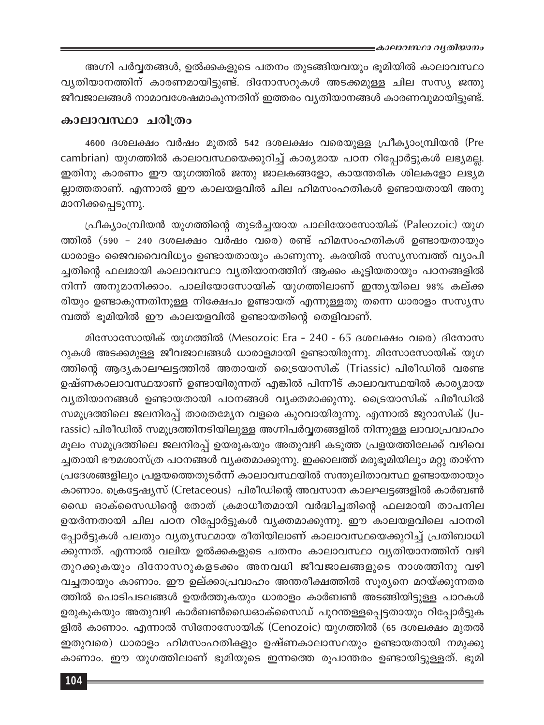≡കാലാവസ്ഥാ വൃതിയാനം

അഗ്നി പർവ്വതങ്ങൾ, ഉൽക്കകളുടെ പതനം തുടങ്ങിയവയും ഭൂമിയിൽ കാലാവസ്ഥാ വ്യതിയാനത്തിന് കാരണമായിട്ടുണ്ട്. ദിനോസറുകൾ അടക്കമുള്ള ചില സസ്യ ജന്തു ജീവജാലങ്ങൾ നാമാവശേഷമാകുന്നതിന് ഇത്തരം വ്യതിയാനങ്ങൾ കാരണവുമായിട്ടുണ്ട്.

#### കാലാവസ്ഥാ ചരിത്രം

4600 ദശലക്ഷം വർഷം മുതൽ 542 ദശലക്ഷം വരെയുള്ള പ്രീക്യാംമ്പ്രിയൻ (Pre cambrian) യുഗത്തിൽ കാലാവസ്ഥയെക്കുറിച്ച് കാര്യമായ പഠന റിപ്പോർട്ടുകൾ ലഭ്യമല്ല. ഇതിനു കാരണം ഈ യുഗത്തിൽ ജന്തു ജാലകങ്ങളോ, കായന്തരിക ശിലകളോ ലഭ്യമ ല്ലാത്തതാണ്. എന്നാൽ ഈ കാലയളവിൽ ചില ഹിമസംഹതികൾ ഉണ്ടായതായി അനു മാനിക്കപ്പെടുന്നു.

പ്രീക്യാംമ്പ്രിയൻ യുഗത്തിന്റെ തുടർച്ചയായ പാലിയോസോയിക് (Paleozoic) യുഗ ത്തിൽ (590 - 240 ദശലക്ഷം വർഷം വരെ) രണ്ട് ഹിമസംഹതികൾ ഉണ്ടായതായും ധാരാളം ജൈവവൈവിധ്യം ഉണ്ടായതായും കാണുന്നു. കരയിൽ സസ്യസമ്പത്ത് വ്യാപി ച്ചതിന്റെ ഫലമായി കാലാവസ്ഥാ വ്യതിയാനത്തിന് ആക്കം കൂട്ടിയതായും പഠനങ്ങളിൽ നിന്ന് അനുമാനിക്കാം. പാലിയോസോയിക് യുഗത്തിലാണ് ഇന്ത്യയിലെ 98% കല്ക്ക രിയും ഉണ്ടാകുന്നതിനുള്ള നിക്ഷേപം ഉണ്ടായത് എന്നുള്ളതു തന്നെ ധാരാളം സസ്യസ മ്പത്ത് ഭൂമിയിൽ ഈ കാലയളവിൽ ഉണ്ടായതിന്റെ തെളിവാണ്.

മിസോസോയിക് യുഗത്തിൽ (Mesozoic Era - 240 - 65 ദശലക്ഷം വരെ) ദിനോസ റുകൾ അടക്കമുള്ള ജീവജാലങ്ങൾ ധാരാളമായി ഉണ്ടായിരുന്നു. മിസോസോയിക് യുഗ ത്തിന്റെ ആദ്യകാലഘട്ടത്തിൽ അതായത് ട്രൈയാസിക് (Triassic) പിരീഡിൽ വരണ്ട ഉഷ്ണകാലാവസ്ഥയാണ് ഉണ്ടായിരുന്നത് എങ്കിൽ പിന്നീട് കാലാവസ്ഥയിൽ കാര്യമായ വൃതിയാനങ്ങൾ ഉണ്ടായതായി പഠനങ്ങൾ വൃക്തമാക്കുന്നു. ട്രൈയാസിക് പിരീഡിൽ സമുദ്രത്തിലെ ജലനിരപ്പ് താരതമ്യേന വളരെ കുറവായിരുന്നു. എന്നാൽ ജുറാസിക് (Jurassic) പിരീഡിൽ സമുദ്രത്തിനടിയിലുള്ള അഗ്നിപർവ്വതങ്ങളിൽ നിന്നുള്ള ലാവാപ്രവാഹം മൂലം സമുദ്രത്തിലെ ജലനിരപ്പ് ഉയരുകയും അതുവഴി കടുത്ത പ്രളയത്തിലേക്ക് വഴിവെ ച്ചതായി ഭൗമശാസ്ത്ര പഠനങ്ങൾ വ്യക്തമാക്കുന്നു. ഇക്കാലത്ത് മരുഭൂമിയിലും മറ്റു താഴ്ന്ന പ്രദേശങ്ങളിലും പ്രളയത്തെതുടർന്ന് കാലാവസ്ഥയിൽ സന്തുലിതാവസ്ഥ ഉണ്ടായതായും കാണാം. ക്രെട്ടേഷ്യസ് (Cretaceous) പിരീഡിന്റെ അവസാന കാലഘട്ടങ്ങളിൽ കാർബൺ ഡൈ ഓക്സൈഡിന്റെ തോത് ക്രമാധീതമായി വർദ്ധിച്ചതിന്റെ ഫലമായി താപനില ഉയർന്നതായി ചില പഠന റിപ്പോർട്ടുകൾ വ്യക്തമാക്കുന്നു. ഈ കാലയളവിലെ പഠനരി പ്പോർട്ടുകൾ പലതും വ്യത്യസ്ഥമായ രീതിയിലാണ് കാലാവസ്ഥയെക്കുറിച്ച് പ്രതിബാധി ക്കുന്നത്. എന്നാൽ വലിയ ഉൽക്കകളുടെ പതനം കാലാവസ്ഥാ വൃതിയാനത്തിന് വഴി തുറക്കുകയും ദിനോസറുകളടക്കം അനവധി ജീവജാലങ്ങളുടെ നാശത്തിനു വഴി വച്ചതായും കാണാം. ഈ ഉല്ക്കാപ്രവാഹം അന്തരീക്ഷത്തിൽ സൂര്യനെ മറയ്ക്കുന്നതര ത്തിൽ പൊടിപടലങ്ങൾ ഉയർത്തുകയും ധാരാളം കാർബൺ അടങ്ങിയിട്ടുള്ള പാറകൾ ഉരുകുകയും അതുവഴി കാർബൺഡൈഓക്സൈഡ് പുറന്തള്ളപ്പെട്ടതായും റിപ്പോർട്ടുക ളിൽ കാണാം. എന്നാൽ സിനോസോയിക് (Cenozoic) യുഗത്തിൽ (65 ദശലക്ഷം മുതൽ ഇതുവരെ) ധാരാളം ഹിമസംഹതികളും ഉഷ്ണകാലാസ്ഥയും ഉണ്ടായതായി നമുക്കു കാണാം. ഈ യുഗത്തിലാണ് ഭൂമിയുടെ ഇന്നത്തെ രൂപാന്തരം ഉണ്ടായിട്ടുള്ളത്. ഭൂമി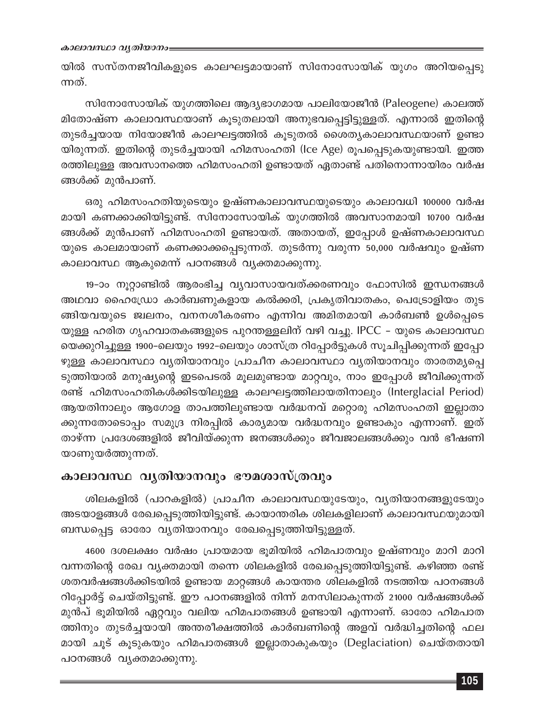യിൽ സസ്തനജീവികളുടെ കാലഘട്ടമായാണ് സിനോസോയിക് യുഗം അറിയപ്പെടു ന്നത്.

സിനോസോയിക് യുഗത്തിലെ ആദ്യഭാഗമായ പാലിയോജീൻ (Paleogene) കാലത്ത് മിതോഷ്ണ കാലാവസ്ഥയാണ് കൂടുതലായി അനുഭവപ്പെട്ടിട്ടുള്ളത്. എന്നാൽ ഇതിന്റെ തുടർച്ചയായ നിയോജീൻ കാലഘട്ടത്തിൽ കൂടുതൽ ശൈത്യകാലാവസ്ഥയാണ് ഉണ്ടാ യിരുന്നത്. ഇതിന്റെ തുടർച്ചയായി ഹിമസംഹതി (Ice Age) രൂപപ്പെടുകയുണ്ടായി. ഇത്ത രത്തിലുള്ള അവസാനത്തെ ഹിമസംഹതി ഉണ്ടായത് ഏതാണ്ട് പതിനൊന്നായിരം വർഷ ങ്ങൾക്ക് മുൻപാണ്.

ഒരു ഹിമസംഹതിയുടെയും ഉഷ്ണകാലാവസ്ഥയുടെയും കാലാവധി 100000 വർഷ മായി കണക്കാക്കിയിട്ടുണ്ട്. സിനോസോയിക് യുഗത്തിൽ അവസാനമായി 10700 വർഷ ങ്ങൾക്ക് മുൻപാണ് ഹിമസംഹതി ഉണ്ടായത്. അതായത്, ഇപ്പോൾ ഉഷ്ണകാലാവസ്ഥ യുടെ കാലമായാണ് കണക്കാക്കപ്പെടുന്നത്. തുടർന്നു വരുന്ന 50,000 വർഷവും ഉഷ്ണ കാലാവസ്ഥ ആകുമെന്ന് പഠനങ്ങൾ വ്യക്തമാക്കുന്നു.

19-ാം നൂറ്റാണ്ടിൽ ആരംഭിച്ച വ്യവാസായവത്ക്കരണവും ഫോസിൽ ഇന്ധനങ്ങൾ അഥവാ ഹൈഡ്രോ കാർബണുകളായ കൽക്കരി, പ്രകൃതിവാതകം, പെട്രോളിയം തുട ങ്ങിയവയുടെ ജ്വലനം, വനനശീകരണം എന്നിവ അമിതമായി കാർബൺ ഉൾപ്പെടെ യുള്ള ഹരിത ഗൃഹവാതകങ്ങളുടെ പുറന്തള്ളലിന് വഴി വച്ചു. IPCC - യുടെ കാലാവസ്ഥ യെക്കുറിച്ചുള്ള 1900–ലെയും 1992–ലെയും ശാസ്ത്ര റിപ്പോർട്ടുകൾ സൂചിപ്പിക്കുന്നത് ഇപ്പോ ഴുള്ള കാലാവസ്ഥാ വൃതിയാനവും പ്രാചീന കാലാവസ്ഥാ വൃതിയാനവും താരതമൃപ്പെ ടുത്തിയാൽ മനുഷ്യന്റെ ഇടപെടൽ മൂലമുണ്ടായ മാറ്റവും, നാം ഇപ്പോൾ ജീവിക്കുന്നത് രണ്ട് ഹിമസംഹതികൾക്കിടയിലുള്ള കാലഘട്ടത്തിലായതിനാലും (Interglacial Period) ആയതിനാലും ആഗോള താപത്തിലുണ്ടായ വർദ്ധനവ് മറ്റൊരു ഹിമസംഹതി ഇല്ലാതാ ക്കുന്നതോടൊപ്പം സമുദ്ര നിരപ്പിൽ കാര്യമായ വർദ്ധനവും ഉണ്ടാകും എന്നാണ്. ഇത് താഴ്ന്ന പ്രദേശങ്ങളിൽ ജീവിയ്ക്കുന്ന ജനങ്ങൾക്കും ജീവജാലങ്ങൾക്കും വൻ ഭീഷണി യാണുയർത്തുന്നത്.

### കാലാവസ്ഥ വൃതിയാനവും ഭൗമശാസ്ത്രവും

ശിലകളിൽ (പാറകളിൽ) പ്രാചീന കാലാവസ്ഥയുടേയും, വ്യതിയാനങ്ങളുടേയും അടയാളങ്ങൾ രേഖപ്പെടുത്തിയിട്ടുണ്ട്. കായാന്തരിക ശിലകളിലാണ് കാലാവസ്ഥയുമായി ബന്ധപ്പെട്ട ഓരോ വ്യതിയാനവും രേഖപ്പെടുത്തിയിട്ടുള്ളത്.

4600 ദശലക്ഷം വർഷം പ്രായമായ ഭൂമിയിൽ ഹിമപാതവും ഉഷ്ണവും മാറി മാറി വന്നതിന്റെ രേഖ വ്യക്തമായി തന്നെ ശിലകളിൽ രേഖപ്പെടുത്തിയിട്ടുണ്ട്. കഴിഞ്ഞ രണ്ട് ശതവർഷങ്ങൾക്കിടയിൽ ഉണ്ടായ മാറ്റങ്ങൾ കായന്തര ശിലകളിൽ നടത്തിയ പഠനങ്ങൾ റിപ്പോർട്ട് ചെയ്തിട്ടുണ്ട്. ഈ പഠനങ്ങളിൽ നിന്ന് മനസിലാകുന്നത് 21000 വർഷങ്ങൾക്ക് മുൻപ് ഭൂമിയിൽ ഏറ്റവും വലിയ ഹിമപാതങ്ങൾ ഉണ്ടായി എന്നാണ്. ഓരോ ഹിമപാത ത്തിനും തുടർച്ചയായി അന്തരീക്ഷത്തിൽ കാർബണിന്റെ അളവ് വർദ്ധിച്ചതിന്റെ ഫല മായി ചൂട് കൂടുകയും ഹിമപാതങ്ങൾ ഇല്ലാതാകുകയും (Deglaciation) ചെയ്തതായി പഠനങ്ങൾ വൃക്തമാക്കുന്നു.